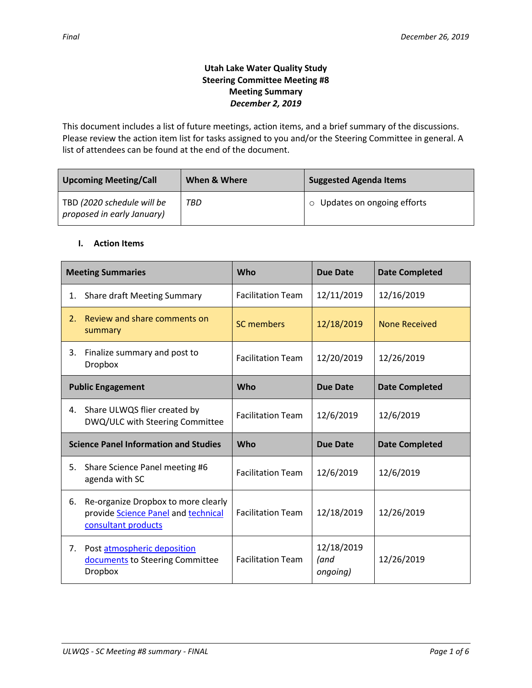# **Utah Lake Water Quality Study Steering Committee Meeting #8 Meeting Summary** *December 2, 2019*

This document includes a list of future meetings, action items, and a brief summary of the discussions. Please review the action item list for tasks assigned to you and/or the Steering Committee in general. A list of attendees can be found at the end of the document.

| <b>Upcoming Meeting/Call</b>                             | When & Where | <b>Suggested Agenda Items</b> |  |
|----------------------------------------------------------|--------------|-------------------------------|--|
| TBD (2020 schedule will be<br>proposed in early January) | TBD          | ○ Updates on ongoing efforts  |  |

## **I. Action Items**

| <b>Meeting Summaries</b>                     |                                                                                                   | <b>Who</b>               | <b>Due Date</b>                | <b>Date Completed</b> |
|----------------------------------------------|---------------------------------------------------------------------------------------------------|--------------------------|--------------------------------|-----------------------|
| 1.                                           | <b>Share draft Meeting Summary</b>                                                                | <b>Facilitation Team</b> | 12/11/2019                     | 12/16/2019            |
| 2.                                           | Review and share comments on<br>summary                                                           | <b>SC members</b>        | 12/18/2019                     | <b>None Received</b>  |
| 3.                                           | Finalize summary and post to<br><b>Dropbox</b>                                                    | <b>Facilitation Team</b> | 12/20/2019                     | 12/26/2019            |
|                                              | <b>Public Engagement</b>                                                                          | Who                      | <b>Due Date</b>                | <b>Date Completed</b> |
| 4.                                           | Share ULWQS flier created by<br>DWQ/ULC with Steering Committee                                   | <b>Facilitation Team</b> | 12/6/2019                      | 12/6/2019             |
| <b>Science Panel Information and Studies</b> |                                                                                                   | Who                      | <b>Due Date</b>                | <b>Date Completed</b> |
| 5.                                           | Share Science Panel meeting #6<br>agenda with SC                                                  | <b>Facilitation Team</b> | 12/6/2019                      | 12/6/2019             |
| 6.                                           | Re-organize Dropbox to more clearly<br>provide Science Panel and technical<br>consultant products | <b>Facilitation Team</b> | 12/18/2019                     | 12/26/2019            |
| 7.                                           | Post atmospheric deposition<br>documents to Steering Committee<br><b>Dropbox</b>                  | <b>Facilitation Team</b> | 12/18/2019<br>(and<br>ongoing) | 12/26/2019            |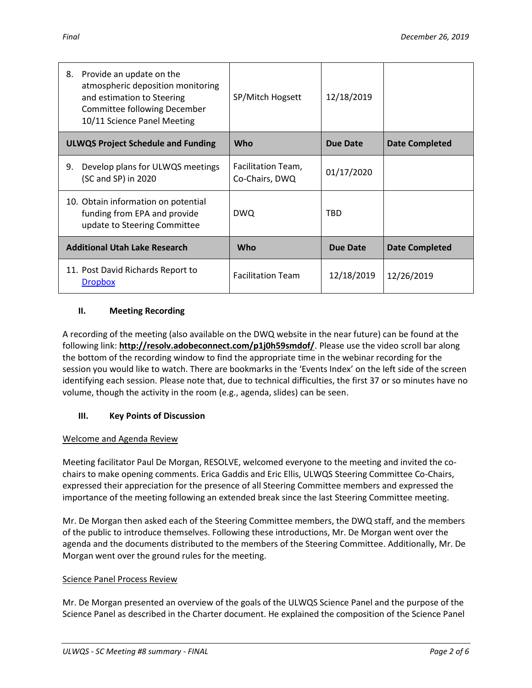| Provide an update on the<br>8.<br>atmospheric deposition monitoring<br>and estimation to Steering<br>Committee following December<br>10/11 Science Panel Meeting | SP/Mitch Hogsett                     | 12/18/2019      |                       |
|------------------------------------------------------------------------------------------------------------------------------------------------------------------|--------------------------------------|-----------------|-----------------------|
| <b>ULWQS Project Schedule and Funding</b>                                                                                                                        | Who                                  | <b>Due Date</b> | <b>Date Completed</b> |
| Develop plans for ULWQS meetings<br>9.<br>(SC and SP) in 2020                                                                                                    | Facilitation Team,<br>Co-Chairs, DWQ | 01/17/2020      |                       |
| 10. Obtain information on potential<br>funding from EPA and provide<br>update to Steering Committee                                                              | <b>DWQ</b>                           | TBD             |                       |
| <b>Additional Utah Lake Research</b>                                                                                                                             | Who                                  | Due Date        | <b>Date Completed</b> |
| 11. Post David Richards Report to<br><b>Dropbox</b>                                                                                                              | <b>Facilitation Team</b>             | 12/18/2019      | 12/26/2019            |

# **II. Meeting Recording**

A recording of the meeting (also available on the DWQ website in the near future) can be found at the following link: **http://resolv.adobeconnect.com/p1j0h59smdof/**. Please use the video scroll bar along the bottom of the recording window to find the appropriate time in the webinar recording for the session you would like to watch. There are bookmarks in the 'Events Index' on the left side of the screen identifying each session. Please note that, due to technical difficulties, the first 37 or so minutes have no volume, though the activity in the room (e.g., agenda, slides) can be seen.

# **III. Key Points of Discussion**

# Welcome and Agenda Review

Meeting facilitator Paul De Morgan, RESOLVE, welcomed everyone to the meeting and invited the cochairs to make opening comments. Erica Gaddis and Eric Ellis, ULWQS Steering Committee Co-Chairs, expressed their appreciation for the presence of all Steering Committee members and expressed the importance of the meeting following an extended break since the last Steering Committee meeting.

Mr. De Morgan then asked each of the Steering Committee members, the DWQ staff, and the members of the public to introduce themselves. Following these introductions, Mr. De Morgan went over the agenda and the documents distributed to the members of the Steering Committee. Additionally, Mr. De Morgan went over the ground rules for the meeting.

# Science Panel Process Review

Mr. De Morgan presented an overview of the goals of the ULWQS Science Panel and the purpose of the Science Panel as described in the Charter document. He explained the composition of the Science Panel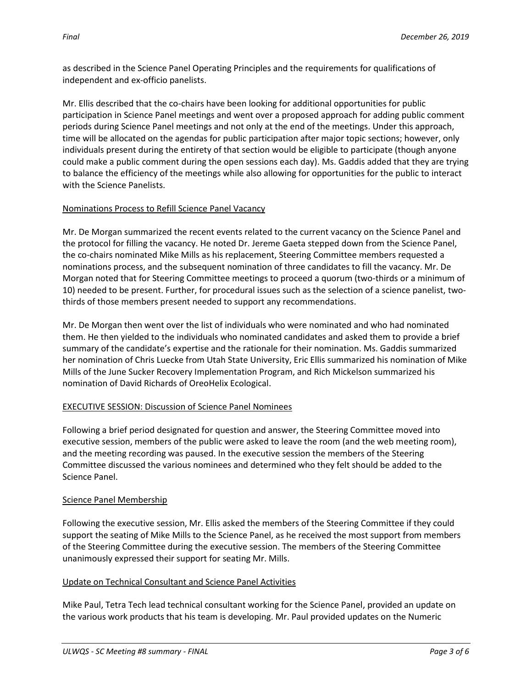as described in the Science Panel Operating Principles and the requirements for qualifications of independent and ex-officio panelists.

Mr. Ellis described that the co-chairs have been looking for additional opportunities for public participation in Science Panel meetings and went over a proposed approach for adding public comment periods during Science Panel meetings and not only at the end of the meetings. Under this approach, time will be allocated on the agendas for public participation after major topic sections; however, only individuals present during the entirety of that section would be eligible to participate (though anyone could make a public comment during the open sessions each day). Ms. Gaddis added that they are trying to balance the efficiency of the meetings while also allowing for opportunities for the public to interact with the Science Panelists.

### Nominations Process to Refill Science Panel Vacancy

Mr. De Morgan summarized the recent events related to the current vacancy on the Science Panel and the protocol for filling the vacancy. He noted Dr. Jereme Gaeta stepped down from the Science Panel, the co-chairs nominated Mike Mills as his replacement, Steering Committee members requested a nominations process, and the subsequent nomination of three candidates to fill the vacancy. Mr. De Morgan noted that for Steering Committee meetings to proceed a quorum (two-thirds or a minimum of 10) needed to be present. Further, for procedural issues such as the selection of a science panelist, twothirds of those members present needed to support any recommendations.

Mr. De Morgan then went over the list of individuals who were nominated and who had nominated them. He then yielded to the individuals who nominated candidates and asked them to provide a brief summary of the candidate's expertise and the rationale for their nomination. Ms. Gaddis summarized her nomination of Chris Luecke from Utah State University, Eric Ellis summarized his nomination of Mike Mills of the June Sucker Recovery Implementation Program, and Rich Mickelson summarized his nomination of David Richards of OreoHelix Ecological.

### EXECUTIVE SESSION: Discussion of Science Panel Nominees

Following a brief period designated for question and answer, the Steering Committee moved into executive session, members of the public were asked to leave the room (and the web meeting room), and the meeting recording was paused. In the executive session the members of the Steering Committee discussed the various nominees and determined who they felt should be added to the Science Panel.

### Science Panel Membership

Following the executive session, Mr. Ellis asked the members of the Steering Committee if they could support the seating of Mike Mills to the Science Panel, as he received the most support from members of the Steering Committee during the executive session. The members of the Steering Committee unanimously expressed their support for seating Mr. Mills.

### Update on Technical Consultant and Science Panel Activities

Mike Paul, Tetra Tech lead technical consultant working for the Science Panel, provided an update on the various work products that his team is developing. Mr. Paul provided updates on the Numeric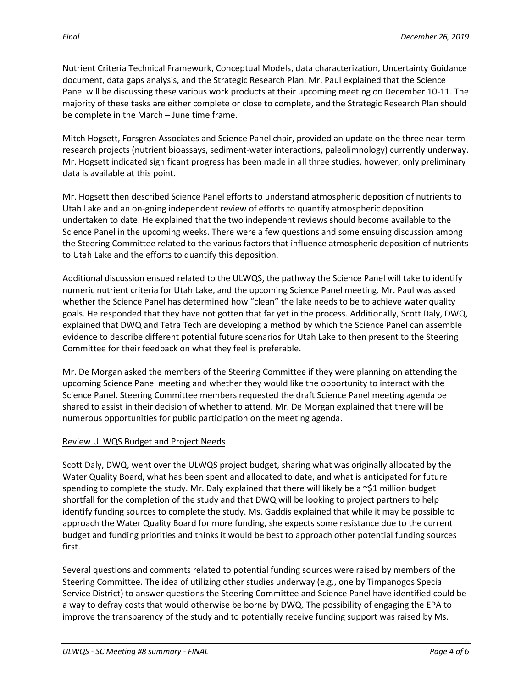Nutrient Criteria Technical Framework, Conceptual Models, data characterization, Uncertainty Guidance document, data gaps analysis, and the Strategic Research Plan. Mr. Paul explained that the Science Panel will be discussing these various work products at their upcoming meeting on December 10-11. The majority of these tasks are either complete or close to complete, and the Strategic Research Plan should be complete in the March – June time frame.

Mitch Hogsett, Forsgren Associates and Science Panel chair, provided an update on the three near-term research projects (nutrient bioassays, sediment-water interactions, paleolimnology) currently underway. Mr. Hogsett indicated significant progress has been made in all three studies, however, only preliminary data is available at this point.

Mr. Hogsett then described Science Panel efforts to understand atmospheric deposition of nutrients to Utah Lake and an on-going independent review of efforts to quantify atmospheric deposition undertaken to date. He explained that the two independent reviews should become available to the Science Panel in the upcoming weeks. There were a few questions and some ensuing discussion among the Steering Committee related to the various factors that influence atmospheric deposition of nutrients to Utah Lake and the efforts to quantify this deposition.

Additional discussion ensued related to the ULWQS, the pathway the Science Panel will take to identify numeric nutrient criteria for Utah Lake, and the upcoming Science Panel meeting. Mr. Paul was asked whether the Science Panel has determined how "clean" the lake needs to be to achieve water quality goals. He responded that they have not gotten that far yet in the process. Additionally, Scott Daly, DWQ, explained that DWQ and Tetra Tech are developing a method by which the Science Panel can assemble evidence to describe different potential future scenarios for Utah Lake to then present to the Steering Committee for their feedback on what they feel is preferable.

Mr. De Morgan asked the members of the Steering Committee if they were planning on attending the upcoming Science Panel meeting and whether they would like the opportunity to interact with the Science Panel. Steering Committee members requested the draft Science Panel meeting agenda be shared to assist in their decision of whether to attend. Mr. De Morgan explained that there will be numerous opportunities for public participation on the meeting agenda.

# Review ULWQS Budget and Project Needs

Scott Daly, DWQ, went over the ULWQS project budget, sharing what was originally allocated by the Water Quality Board, what has been spent and allocated to date, and what is anticipated for future spending to complete the study. Mr. Daly explained that there will likely be a  $\sim$ \$1 million budget shortfall for the completion of the study and that DWQ will be looking to project partners to help identify funding sources to complete the study. Ms. Gaddis explained that while it may be possible to approach the Water Quality Board for more funding, she expects some resistance due to the current budget and funding priorities and thinks it would be best to approach other potential funding sources first.

Several questions and comments related to potential funding sources were raised by members of the Steering Committee. The idea of utilizing other studies underway (e.g., one by Timpanogos Special Service District) to answer questions the Steering Committee and Science Panel have identified could be a way to defray costs that would otherwise be borne by DWQ. The possibility of engaging the EPA to improve the transparency of the study and to potentially receive funding support was raised by Ms.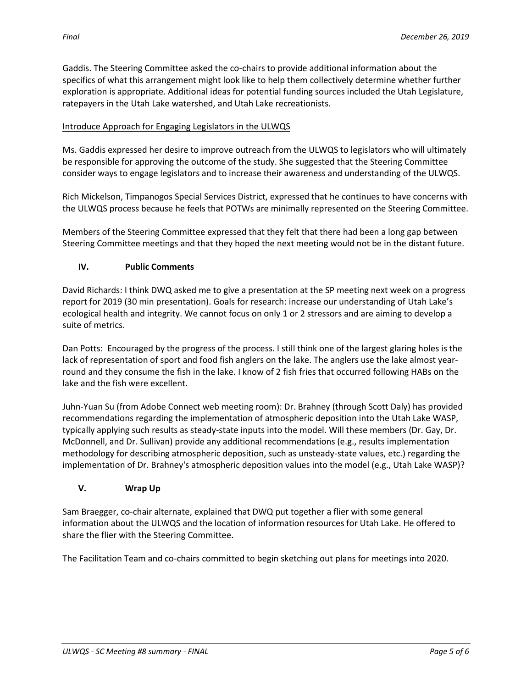Gaddis. The Steering Committee asked the co-chairs to provide additional information about the specifics of what this arrangement might look like to help them collectively determine whether further exploration is appropriate. Additional ideas for potential funding sources included the Utah Legislature, ratepayers in the Utah Lake watershed, and Utah Lake recreationists.

# Introduce Approach for Engaging Legislators in the ULWQS

Ms. Gaddis expressed her desire to improve outreach from the ULWQS to legislators who will ultimately be responsible for approving the outcome of the study. She suggested that the Steering Committee consider ways to engage legislators and to increase their awareness and understanding of the ULWQS.

Rich Mickelson, Timpanogos Special Services District, expressed that he continues to have concerns with the ULWQS process because he feels that POTWs are minimally represented on the Steering Committee.

Members of the Steering Committee expressed that they felt that there had been a long gap between Steering Committee meetings and that they hoped the next meeting would not be in the distant future.

## **IV. Public Comments**

David Richards: I think DWQ asked me to give a presentation at the SP meeting next week on a progress report for 2019 (30 min presentation). Goals for research: increase our understanding of Utah Lake's ecological health and integrity. We cannot focus on only 1 or 2 stressors and are aiming to develop a suite of metrics.

Dan Potts: Encouraged by the progress of the process. I still think one of the largest glaring holes is the lack of representation of sport and food fish anglers on the lake. The anglers use the lake almost yearround and they consume the fish in the lake. I know of 2 fish fries that occurred following HABs on the lake and the fish were excellent.

Juhn-Yuan Su (from Adobe Connect web meeting room): Dr. Brahney (through Scott Daly) has provided recommendations regarding the implementation of atmospheric deposition into the Utah Lake WASP, typically applying such results as steady-state inputs into the model. Will these members (Dr. Gay, Dr. McDonnell, and Dr. Sullivan) provide any additional recommendations (e.g., results implementation methodology for describing atmospheric deposition, such as unsteady-state values, etc.) regarding the implementation of Dr. Brahney's atmospheric deposition values into the model (e.g., Utah Lake WASP)?

## **V. Wrap Up**

Sam Braegger, co-chair alternate, explained that DWQ put together a flier with some general information about the ULWQS and the location of information resources for Utah Lake. He offered to share the flier with the Steering Committee.

The Facilitation Team and co-chairs committed to begin sketching out plans for meetings into 2020.